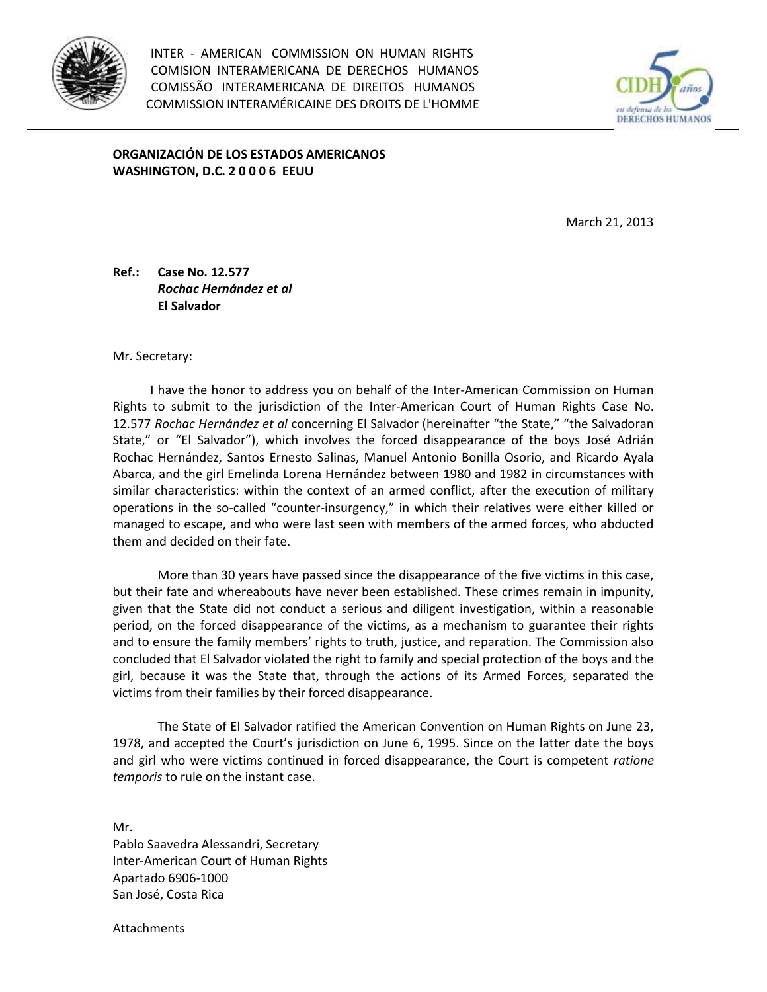

INTER - AMERICAN COMMISSION ON HUMAN RIGHTS COMISION INTERAMERICANA DE DERECHOS HUMANOS COMISSÃO INTERAMERICANA DE DIREITOS HUMANOS COMMISSION INTERAMÉRICAINE DES DROITS DE L'HOMME



**ORGANIZACIÓN DE LOS ESTADOS AMERICANOS WASHINGTON, D.C. 2 0 0 0 6 EEUU**

March 21, 2013

**Ref.: Case No. 12.577** *Rochac Hernández et al*  **El Salvador**

Mr. Secretary:

 I have the honor to address you on behalf of the Inter-American Commission on Human Rights to submit to the jurisdiction of the Inter-American Court of Human Rights Case No. 12.577 *Rochac Hernández et al* concerning El Salvador (hereinafter "the State," "the Salvadoran State," or "El Salvador"), which involves the forced disappearance of the boys José Adrián Rochac Hernández, Santos Ernesto Salinas, Manuel Antonio Bonilla Osorio, and Ricardo Ayala Abarca, and the girl Emelinda Lorena Hernández between 1980 and 1982 in circumstances with similar characteristics: within the context of an armed conflict, after the execution of military operations in the so-called "counter-insurgency," in which their relatives were either killed or managed to escape, and who were last seen with members of the armed forces, who abducted them and decided on their fate.

More than 30 years have passed since the disappearance of the five victims in this case, but their fate and whereabouts have never been established. These crimes remain in impunity, given that the State did not conduct a serious and diligent investigation, within a reasonable period, on the forced disappearance of the victims, as a mechanism to guarantee their rights and to ensure the family members' rights to truth, justice, and reparation. The Commission also concluded that El Salvador violated the right to family and special protection of the boys and the girl, because it was the State that, through the actions of its Armed Forces, separated the victims from their families by their forced disappearance.

The State of El Salvador ratified the American Convention on Human Rights on June 23, 1978, and accepted the Court's jurisdiction on June 6, 1995. Since on the latter date the boys and girl who were victims continued in forced disappearance, the Court is competent *ratione temporis* to rule on the instant case.

Mr. Pablo Saavedra Alessandri, Secretary Inter-American Court of Human Rights Apartado 6906-1000 San José, Costa Rica

**Attachments**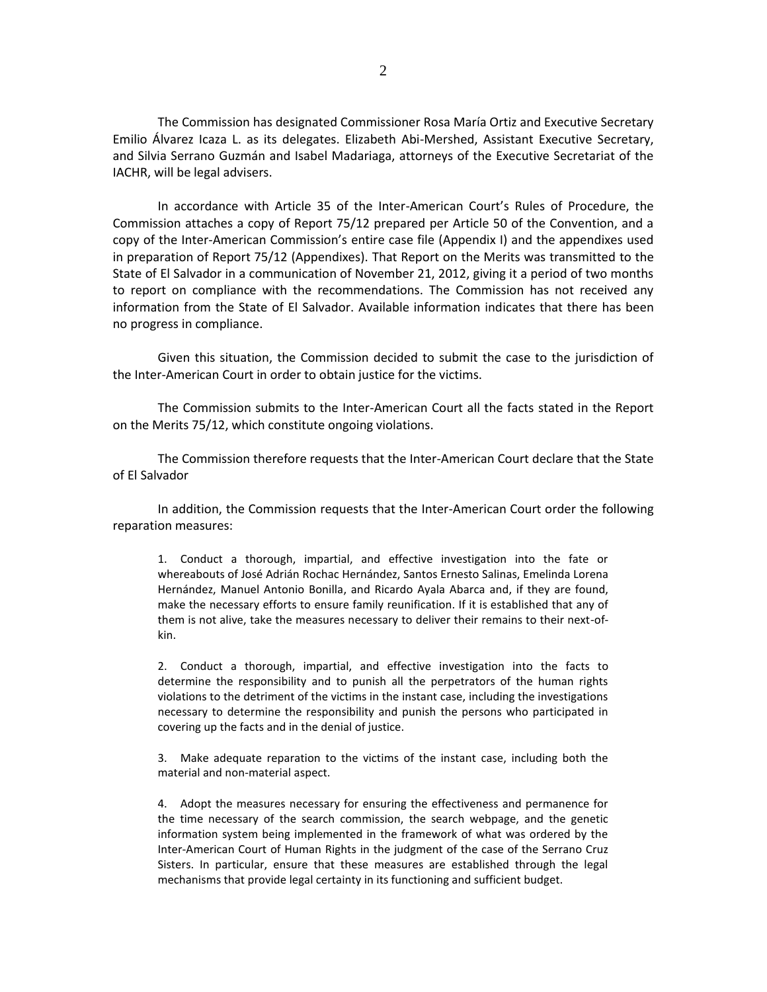The Commission has designated Commissioner Rosa María Ortiz and Executive Secretary Emilio Álvarez Icaza L. as its delegates. Elizabeth Abi-Mershed, Assistant Executive Secretary, and Silvia Serrano Guzmán and Isabel Madariaga, attorneys of the Executive Secretariat of the IACHR, will be legal advisers.

In accordance with Article 35 of the Inter-American Court's Rules of Procedure, the Commission attaches a copy of Report 75/12 prepared per Article 50 of the Convention, and a copy of the Inter-American Commission's entire case file (Appendix I) and the appendixes used in preparation of Report 75/12 (Appendixes). That Report on the Merits was transmitted to the State of El Salvador in a communication of November 21, 2012, giving it a period of two months to report on compliance with the recommendations. The Commission has not received any information from the State of El Salvador. Available information indicates that there has been no progress in compliance.

Given this situation, the Commission decided to submit the case to the jurisdiction of the Inter-American Court in order to obtain justice for the victims.

The Commission submits to the Inter-American Court all the facts stated in the Report on the Merits 75/12, which constitute ongoing violations.

The Commission therefore requests that the Inter-American Court declare that the State of El Salvador

In addition, the Commission requests that the Inter-American Court order the following reparation measures:

1. Conduct a thorough, impartial, and effective investigation into the fate or whereabouts of José Adrián Rochac Hernández, Santos Ernesto Salinas, Emelinda Lorena Hernández, Manuel Antonio Bonilla, and Ricardo Ayala Abarca and, if they are found, make the necessary efforts to ensure family reunification. If it is established that any of them is not alive, take the measures necessary to deliver their remains to their next-ofkin.

2. Conduct a thorough, impartial, and effective investigation into the facts to determine the responsibility and to punish all the perpetrators of the human rights violations to the detriment of the victims in the instant case, including the investigations necessary to determine the responsibility and punish the persons who participated in covering up the facts and in the denial of justice.

3. Make adequate reparation to the victims of the instant case, including both the material and non-material aspect.

4. Adopt the measures necessary for ensuring the effectiveness and permanence for the time necessary of the search commission, the search webpage, and the genetic information system being implemented in the framework of what was ordered by the Inter-American Court of Human Rights in the judgment of the case of the Serrano Cruz Sisters. In particular, ensure that these measures are established through the legal mechanisms that provide legal certainty in its functioning and sufficient budget.